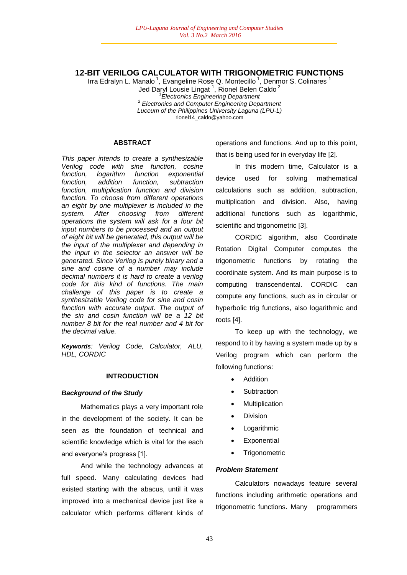## **12-BIT VERILOG CALCULATOR WITH TRIGONOMETRIC FUNCTIONS**

Irra Edralyn L. Manalo<sup>1</sup>, Evangeline Rose Q. Montecillo<sup>1</sup>, Denmor S. Colinares<sup>1</sup> Jed Daryl Lousie Lingat <sup>1</sup> , Rionel Belen Caldo <sup>2</sup> 1 *Electronics Engineering Department 2 Electronics and Computer Engineering Department Luceum of the Philippines University Laguna (LPU-L)* rionel14\_caldo@yahoo.com

#### **ABSTRACT**

*This paper intends to create a synthesizable Verilog code with sine function, cosine function, logarithm function exponential function, addition function, subtraction function, multiplication function and division function. To choose from different operations an eight by one multiplexer is included in the system. After choosing from different operations the system will ask for a four bit input numbers to be processed and an output of eight bit will be generated, this output will be the input of the multiplexer and depending in the input in the selector an answer will be generated. Since Verilog is purely binary and a sine and cosine of a number may include decimal numbers it is hard to create a verilog code for this kind of functions. The main challenge of this paper is to create a synthesizable Verilog code for sine and cosin function with accurate output. The output of the sin and cosin function will be a 12 bit number 8 bit for the real number and 4 bit for the decimal value.*

*Keywords: Verilog Code, Calculator, ALU, HDL, CORDIC*

#### **INTRODUCTION**

### *Background of the Study*

Mathematics plays a very important role in the development of the society. It can be seen as the foundation of technical and scientific knowledge which is vital for the each and everyone's progress [1].

And while the technology advances at full speed. Many calculating devices had existed starting with the abacus, until it was improved into a mechanical device just like a calculator which performs different kinds of

operations and functions. And up to this point, that is being used for in everyday life [2].

In this modern time, Calculator is a device used for solving mathematical calculations such as addition, subtraction, multiplication and division. Also, having additional functions such as logarithmic, scientific and trigonometric [3].

CORDIC algorithm, also Coordinate Rotation Digital Computer computes the trigonometric functions by rotating the coordinate system. And its main purpose is to computing transcendental. CORDIC can compute any functions, such as in circular or hyperbolic trig functions, also logarithmic and roots [4].

To keep up with the technology, we respond to it by having a system made up by a Verilog program which can perform the following functions:

- **Addition**
- **Subtraction**
- Multiplication
- Division
- Logarithmic
- **Exponential**
- **Trigonometric**

### *Problem Statement*

Calculators nowadays feature several functions including arithmetic operations and trigonometric functions. Many programmers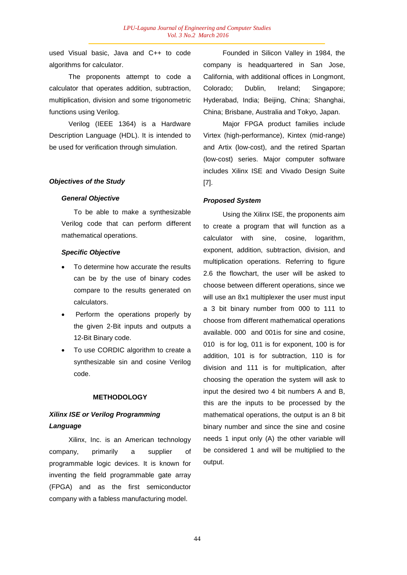used Visual basic, Java and C++ to code algorithms for calculator.

The proponents attempt to code a calculator that operates addition, subtraction, multiplication, division and some trigonometric functions using Verilog.

Verilog (IEEE 1364) is a Hardware Description Language (HDL). It is intended to be used for verification through simulation.

### *Objectives of the Study*

### *General Objective*

To be able to make a synthesizable Verilog code that can perform different mathematical operations.

### *Specific Objective*

- To determine how accurate the results can be by the use of binary codes compare to the results generated on calculators.
- Perform the operations properly by the given 2-Bit inputs and outputs a 12-Bit Binary code.
- To use CORDIC algorithm to create a synthesizable sin and cosine Verilog code.

#### **METHODOLOGY**

# *Xilinx ISE or Verilog Programming Language*

Xilinx, Inc. is an American technology company, primarily a supplier of programmable logic devices. It is known for inventing the field programmable gate array (FPGA) and as the first semiconductor company with a fabless manufacturing model.

Founded in Silicon Valley in 1984, the company is headquartered in San Jose, California, with additional offices in Longmont, Colorado; Dublin, Ireland; Singapore; Hyderabad, India; Beijing, China; Shanghai, China; Brisbane, Australia and Tokyo, Japan.

Major FPGA product families include Virtex (high-performance), Kintex (mid-range) and Artix (low-cost), and the retired Spartan (low-cost) series. Major computer software includes Xilinx ISE and Vivado Design Suite [7].

### *Proposed System*

Using the Xilinx ISE, the proponents aim to create a program that will function as a calculator with sine, cosine, logarithm, exponent, addition, subtraction, division, and multiplication operations. Referring to figure 2.6 the flowchart, the user will be asked to choose between different operations, since we will use an 8x1 multiplexer the user must input a 3 bit binary number from 000 to 111 to choose from different mathematical operations available. 000 and 001is for sine and cosine, 010 is for log, 011 is for exponent, 100 is for addition, 101 is for subtraction, 110 is for division and 111 is for multiplication, after choosing the operation the system will ask to input the desired two 4 bit numbers A and B, this are the inputs to be processed by the mathematical operations, the output is an 8 bit binary number and since the sine and cosine needs 1 input only (A) the other variable will be considered 1 and will be multiplied to the output.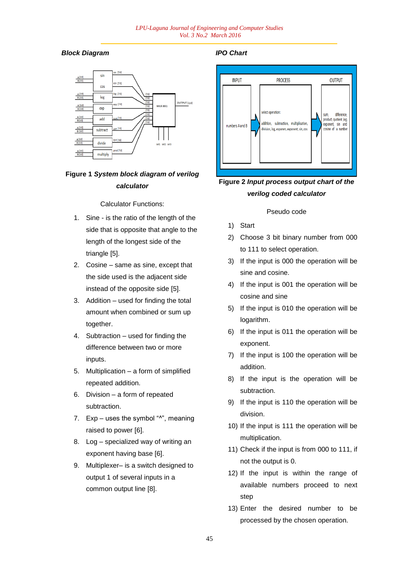# *Block Diagram*



# **Figure 1** *System block diagram of verilog calculator*

Calculator Functions:

- 1. Sine is the ratio of the length of the side that is opposite that angle to the length of the longest side of the triangle [5].
- 2. Cosine same as sine, except that the side used is the adjacent side instead of the opposite side [5].
- 3. Addition used for finding the total amount when combined or sum up together.
- 4. Subtraction used for finding the difference between two or more inputs.
- 5. Multiplication a form of simplified repeated addition.
- 6. Division a form of repeated subtraction.
- 7.  $Exp uses the symbol "^"$ , meaning raised to power [6].
- 8. Log specialized way of writing an exponent having base [6].
- 9. Multiplexer– is a switch designed to output 1 of several inputs in a common output line [8].

## *IPO Chart*



# **Figure 2** *Input process output chart of the verilog coded calculator*

## Pseudo code

- 1) Start
- 2) Choose 3 bit binary number from 000 to 111 to select operation.
- 3) If the input is 000 the operation will be sine and cosine.
- 4) If the input is 001 the operation will be cosine and sine
- 5) If the input is 010 the operation will be logarithm.
- 6) If the input is 011 the operation will be exponent.
- 7) If the input is 100 the operation will be addition.
- 8) If the input is the operation will be subtraction.
- 9) If the input is 110 the operation will be division.
- 10) If the input is 111 the operation will be multiplication.
- 11) Check if the input is from 000 to 111, if not the output is 0.
- 12) If the input is within the range of available numbers proceed to next step
- 13) Enter the desired number to be processed by the chosen operation.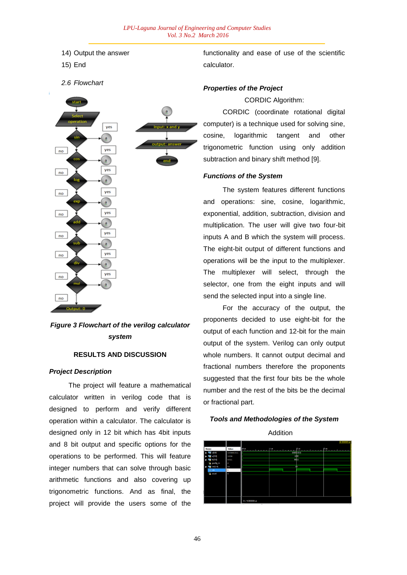14) Output the answer

15) End

*2.6 Flowchart*



# *Figure 3 Flowchart of the verilog calculator system*

## **RESULTS AND DISCUSSION**

### *Project Description*

The project will feature a mathematical calculator written in verilog code that is designed to perform and verify different operation within a calculator. The calculator is designed only in 12 bit which has 4bit inputs and 8 bit output and specific options for the operations to be performed. This will feature integer numbers that can solve through basic arithmetic functions and also covering up trigonometric functions. And as final, the project will provide the users some of the

functionality and ease of use of the scientific calculator.

### *Properties of the Project*

CORDIC Algorithm:

CORDIC (coordinate rotational digital computer) is a technique used for solving sine, cosine, logarithmic tangent and other trigonometric function using only addition subtraction and binary shift method [9].

### *Functions of the System*

The system features different functions and operations: sine, cosine, logarithmic, exponential, addition, subtraction, division and multiplication. The user will give two four-bit inputs A and B which the system will process. The eight-bit output of different functions and operations will be the input to the multiplexer. The multiplexer will select, through the selector, one from the eight inputs and will send the selected input into a single line.

For the accuracy of the output, the proponents decided to use eight-bit for the output of each function and 12-bit for the main output of the system. Verilog can only output whole numbers. It cannot output decimal and fractional numbers therefore the proponents suggested that the first four bits be the whole number and the rest of the bits be the decimal or fractional part.





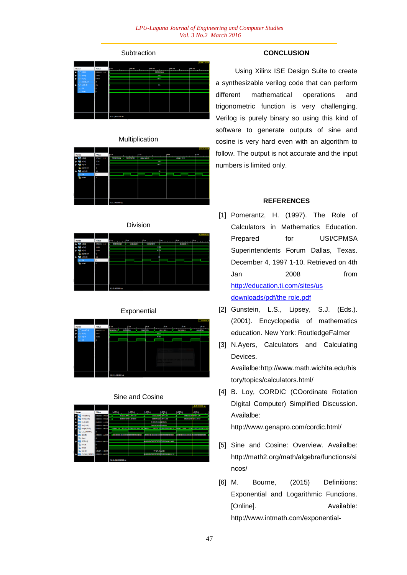# **Subtraction**



### Multiplication

|                |           |                        |           |           | 7.000000 us |
|----------------|-----------|------------------------|-----------|-----------|-------------|
| <b>Name</b>    | Value     | 10 <sub>LM</sub>       | 205       | ختها      | ۴us.        |
| (第3)           | 000011011 | 000001001<br>000000000 | 000010010 | 000011011 |             |
| 53.01          | 1001      |                        | 1001      |           |             |
| $\blacksquare$ | 0011      |                        | 0011      |           |             |
| parity in      | ō         |                        |           |           |             |
| $2$ sell(1:0)  | 10        |                        | 10        |           |             |
| <b>SOF</b>     |           |                        |           |           |             |
| ъ<br>reset     | ъ         |                        |           |           |             |
|                |           |                        |           |           |             |
|                |           |                        |           |           |             |
|                |           |                        |           |           |             |
|                |           |                        |           |           |             |
|                |           |                        |           |           |             |
|                |           |                        |           |           |             |
|                |           | X1: 7.000000 us        |           |           |             |
|                |           |                        |           |           |             |

Division

|                 |           |                 |           |           |           | 6.000000 us            |
|-----------------|-----------|-----------------|-----------|-----------|-----------|------------------------|
| <b>Name</b>     | Value     | $0$ us          | 1.5.11    |           |           | <b>College College</b> |
| (陈0)            | 000000011 | 000000000       | 100000001 | 100000010 | 000000011 |                        |
| 83.01           | 1100      |                 |           | mbo       |           |                        |
| b[3:0]          | 0100      |                 |           | oibo      |           |                        |
| parity_in       | ۰         |                 |           |           |           |                        |
| $4$ sel(1:0)    | 33        |                 |           |           |           |                        |
| <b>SOLUTION</b> |           |                 |           |           |           |                        |
| т<br>reset      | ۰         |                 |           |           |           |                        |
|                 |           |                 |           |           |           |                        |
|                 |           |                 |           |           |           |                        |
|                 |           |                 |           |           |           |                        |
|                 |           |                 |           |           |           |                        |
|                 |           |                 |           |           |           |                        |
|                 |           |                 |           |           |           |                        |
|                 |           |                 |           |           |           |                        |
|                 |           | X1: 6.000000 us |           |           |           |                        |

# Exponential



## Sine and Cosine

|              |              |                     |                                  |                   |                                   |                  | 1,215.000000 us  |
|--------------|--------------|---------------------|----------------------------------|-------------------|-----------------------------------|------------------|------------------|
| Name         | <b>Value</b> | 1,190 us            | $ 1,195$ us                      | 1,200 us          | $1.205$ us                        | $1,210$ us       | 1.215us          |
| Xout[16:0]   | 00111110010  |                     | 00111110011100110                | 00111110011001101 |                                   |                  | 001111100101100  |
| Yout[16:0]   | 00000100010  |                     | 00000010001100000                |                   | 00000011010001100                 | 00000100         | 30111010         |
| Xin(15:0)    | 01001011111  |                     |                                  | 0100101111100101  |                                   |                  |                  |
| Min[15:0]    | 00000000000  |                     |                                  | 0000000000000000  |                                   |                  |                  |
| angle[31:0]  | 00001110001  |                     | 00001100110011008100110011001100 |                   | 000011011000001001011000000101101 | 0000111000111000 | 1110001110001110 |
| CLK 100MHZ   |              |                     |                                  |                   |                                   |                  |                  |
| (83.0)       | 0000000000   |                     |                                  |                   |                                   | 000000000000000  | 0000000000000    |
| start        |              |                     |                                  |                   |                                   |                  |                  |
| SZ[31:0]     | 0000000000   |                     |                                  |                   |                                   |                  |                  |
| FALSE        |              |                     |                                  |                   |                                   |                  |                  |
| TRUF         |              |                     |                                  |                   |                                   |                  |                  |
| VALUE        | 19429.26532  |                     |                                  | 19429.265331      |                                   |                  |                  |
| CLK100_SPEED | 00000000000  |                     |                                  |                   |                                   |                  |                  |
|              |              | X1: 1.215.000000 us |                                  |                   |                                   |                  |                  |

## **CONCLUSION**

Using Xilinx ISE Design Suite to create a synthesizable verilog code that can perform different mathematical operations and trigonometric function is very challenging. Verilog is purely binary so using this kind of software to generate outputs of sine and cosine is very hard even with an algorithm to follow. The output is not accurate and the input numbers is limited only.

## **REFERENCES**

- [1] Pomerantz, H. (1997). The Role of Calculators in Mathematics Education. Prepared for USI/CPMSA Superintendents Forum Dallas, Texas. December 4, 1997 1-10. Retrieved on 4th Jan 2008 from http://education.ti.com/sites/us downloads/pdf/the role.pdf
- [2] Gunstein, L.S., Lipsey, S.J. (Eds.). (2001). Encyclopedia of mathematics education. New York: RoutledgeFalmer
- [3] N.Ayers, Calculators and Calculating Devices. Availalbe:http://www.math.wichita.edu/his tory/topics/calculators.html/
- [4] B. Loy, CORDIC (COordinate Rotation DIgital Computer) Simplified Discussion. Availalbe: http://www.genapro.com/cordic.html/
- [5] Sine and Cosine: Overview. Availalbe: http://math2.org/math/algebra/functions/si ncos/
- [6] M. Bourne, (2015) Definitions: Exponential and Logarithmic Functions. [Online]. Available: http://www.intmath.com/exponential-